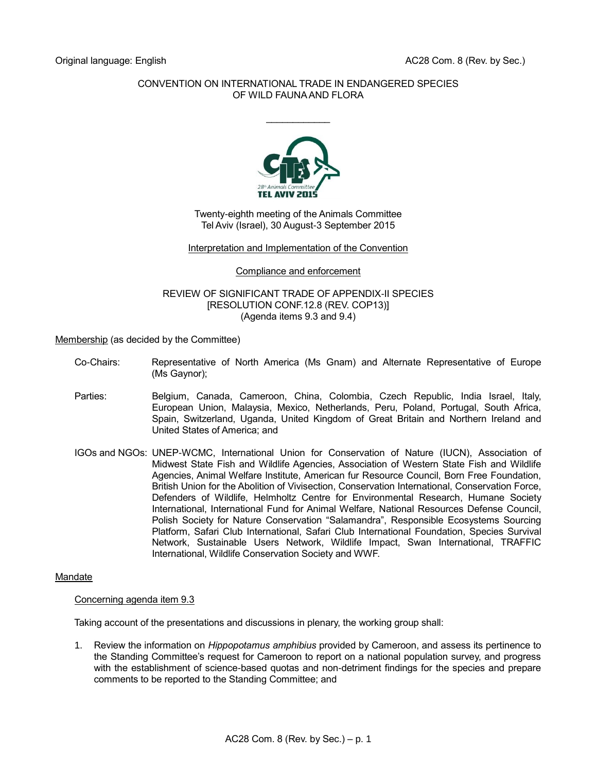# CONVENTION ON INTERNATIONAL TRADE IN ENDANGERED SPECIES OF WILD FAUNA AND FLORA

 $\frac{1}{2}$ 



Twenty-eighth meeting of the Animals Committee Tel Aviv (Israel), 30 August-3 September 2015

#### Interpretation and Implementation of the Convention

#### Compliance and enforcement

## REVIEW OF SIGNIFICANT TRADE OF APPENDIX-II SPECIES [RESOLUTION CONF.12.8 (REV. COP13)] (Agenda items 9.3 and 9.4)

Membership (as decided by the Committee)

- Co-Chairs: Representative of North America (Ms Gnam) and Alternate Representative of Europe (Ms Gaynor);
- Parties: Belgium, Canada, Cameroon, China, Colombia, Czech Republic, India Israel, Italy, European Union, Malaysia, Mexico, Netherlands, Peru, Poland, Portugal, South Africa, Spain, Switzerland, Uganda, United Kingdom of Great Britain and Northern Ireland and United States of America; and
- IGOs and NGOs: UNEP-WCMC, International Union for Conservation of Nature (IUCN), Association of Midwest State Fish and Wildlife Agencies, Association of Western State Fish and Wildlife Agencies, Animal Welfare Institute, American fur Resource Council, Born Free Foundation, British Union for the Abolition of Vivisection, Conservation International, Conservation Force, Defenders of Wildlife, Helmholtz Centre for Environmental Research, Humane Society International, International Fund for Animal Welfare, National Resources Defense Council, Polish Society for Nature Conservation "Salamandra", Responsible Ecosystems Sourcing Platform, Safari Club International, Safari Club International Foundation, Species Survival Network, Sustainable Users Network, Wildlife Impact, Swan International, TRAFFIC International, Wildlife Conservation Society and WWF.

# Mandate

# Concerning agenda item 9.3

Taking account of the presentations and discussions in plenary, the working group shall:

1. Review the information on *Hippopotamus amphibius* provided by Cameroon, and assess its pertinence to the Standing Committee's request for Cameroon to report on a national population survey, and progress with the establishment of science-based quotas and non-detriment findings for the species and prepare comments to be reported to the Standing Committee; and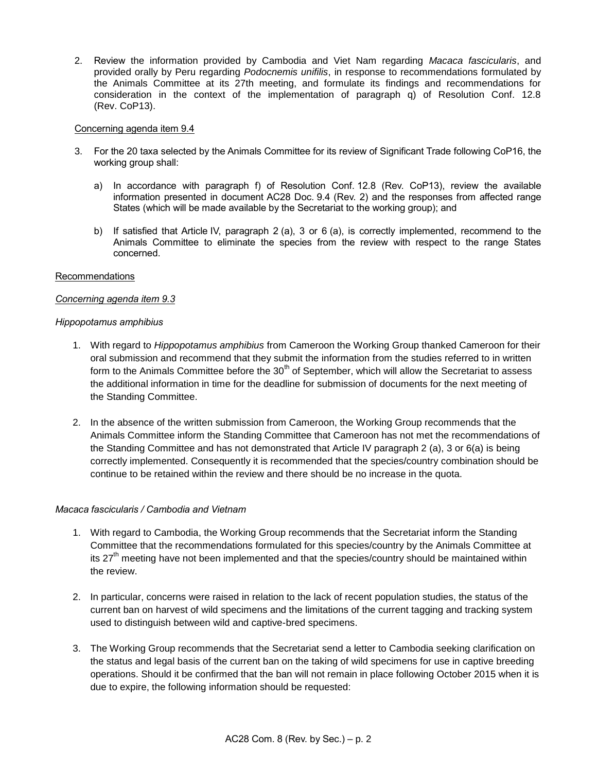2. Review the information provided by Cambodia and Viet Nam regarding *Macaca fascicularis*, and provided orally by Peru regarding *Podocnemis unifilis*, in response to recommendations formulated by the Animals Committee at its 27th meeting, and formulate its findings and recommendations for consideration in the context of the implementation of paragraph q) of Resolution Conf. 12.8 (Rev. CoP13).

## Concerning agenda item 9.4

- 3. For the 20 taxa selected by the Animals Committee for its review of Significant Trade following CoP16, the working group shall:
	- a) In accordance with paragraph f) of Resolution Conf. 12.8 (Rev. CoP13), review the available information presented in document AC28 Doc. 9.4 (Rev. 2) and the responses from affected range States (which will be made available by the Secretariat to the working group); and
	- b) If satisfied that Article IV, paragraph 2 (a), 3 or 6 (a), is correctly implemented, recommend to the Animals Committee to eliminate the species from the review with respect to the range States concerned.

#### Recommendations

# *Concerning agenda item 9.3*

#### *Hippopotamus amphibius*

- 1. With regard to *Hippopotamus amphibius* from Cameroon the Working Group thanked Cameroon for their oral submission and recommend that they submit the information from the studies referred to in written form to the Animals Committee before the 30<sup>th</sup> of September, which will allow the Secretariat to assess the additional information in time for the deadline for submission of documents for the next meeting of the Standing Committee.
- 2. In the absence of the written submission from Cameroon, the Working Group recommends that the Animals Committee inform the Standing Committee that Cameroon has not met the recommendations of the Standing Committee and has not demonstrated that Article IV paragraph 2 (a), 3 or 6(a) is being correctly implemented. Consequently it is recommended that the species/country combination should be continue to be retained within the review and there should be no increase in the quota.

# *Macaca fascicularis / Cambodia and Vietnam*

- 1. With regard to Cambodia, the Working Group recommends that the Secretariat inform the Standing Committee that the recommendations formulated for this species/country by the Animals Committee at its  $27<sup>th</sup>$  meeting have not been implemented and that the species/country should be maintained within the review.
- 2. In particular, concerns were raised in relation to the lack of recent population studies, the status of the current ban on harvest of wild specimens and the limitations of the current tagging and tracking system used to distinguish between wild and captive-bred specimens.
- 3. The Working Group recommends that the Secretariat send a letter to Cambodia seeking clarification on the status and legal basis of the current ban on the taking of wild specimens for use in captive breeding operations. Should it be confirmed that the ban will not remain in place following October 2015 when it is due to expire, the following information should be requested: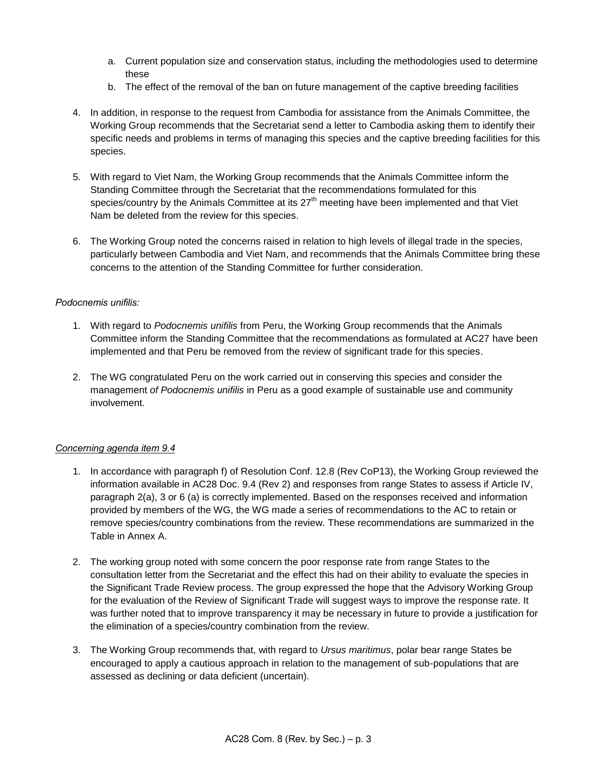- a. Current population size and conservation status, including the methodologies used to determine these
- b. The effect of the removal of the ban on future management of the captive breeding facilities
- 4. In addition, in response to the request from Cambodia for assistance from the Animals Committee, the Working Group recommends that the Secretariat send a letter to Cambodia asking them to identify their specific needs and problems in terms of managing this species and the captive breeding facilities for this species.
- 5. With regard to Viet Nam, the Working Group recommends that the Animals Committee inform the Standing Committee through the Secretariat that the recommendations formulated for this species/country by the Animals Committee at its 27<sup>th</sup> meeting have been implemented and that Viet Nam be deleted from the review for this species.
- 6. The Working Group noted the concerns raised in relation to high levels of illegal trade in the species, particularly between Cambodia and Viet Nam, and recommends that the Animals Committee bring these concerns to the attention of the Standing Committee for further consideration.

# *Podocnemis unifilis:*

- 1. With regard to *Podocnemis unifilis* from Peru, the Working Group recommends that the Animals Committee inform the Standing Committee that the recommendations as formulated at AC27 have been implemented and that Peru be removed from the review of significant trade for this species.
- 2. The WG congratulated Peru on the work carried out in conserving this species and consider the management *of Podocnemis unifilis* in Peru as a good example of sustainable use and community involvement.

# *Concerning agenda item 9.4*

- 1. In accordance with paragraph f) of Resolution Conf. 12.8 (Rev CoP13), the Working Group reviewed the information available in AC28 Doc. 9.4 (Rev 2) and responses from range States to assess if Article IV, paragraph 2(a), 3 or 6 (a) is correctly implemented. Based on the responses received and information provided by members of the WG, the WG made a series of recommendations to the AC to retain or remove species/country combinations from the review. These recommendations are summarized in the Table in Annex A.
- 2. The working group noted with some concern the poor response rate from range States to the consultation letter from the Secretariat and the effect this had on their ability to evaluate the species in the Significant Trade Review process. The group expressed the hope that the Advisory Working Group for the evaluation of the Review of Significant Trade will suggest ways to improve the response rate. It was further noted that to improve transparency it may be necessary in future to provide a justification for the elimination of a species/country combination from the review.
- 3. The Working Group recommends that, with regard to *Ursus maritimus*, polar bear range States be encouraged to apply a cautious approach in relation to the management of sub-populations that are assessed as declining or data deficient (uncertain).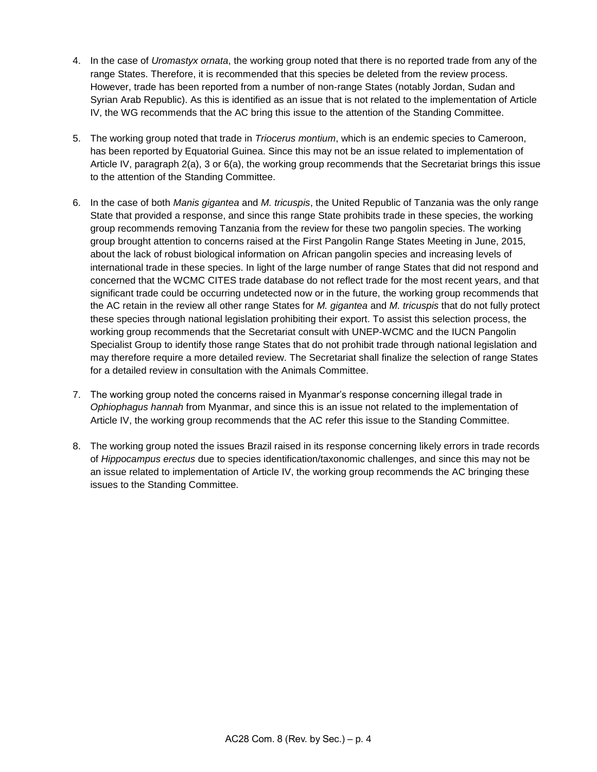- 4. In the case of *Uromastyx ornata*, the working group noted that there is no reported trade from any of the range States. Therefore, it is recommended that this species be deleted from the review process. However, trade has been reported from a number of non-range States (notably Jordan, Sudan and Syrian Arab Republic). As this is identified as an issue that is not related to the implementation of Article IV, the WG recommends that the AC bring this issue to the attention of the Standing Committee.
- 5. The working group noted that trade in *Triocerus montium*, which is an endemic species to Cameroon, has been reported by Equatorial Guinea. Since this may not be an issue related to implementation of Article IV, paragraph 2(a), 3 or 6(a), the working group recommends that the Secretariat brings this issue to the attention of the Standing Committee.
- 6. In the case of both *Manis gigantea* and *M. tricuspis*, the United Republic of Tanzania was the only range State that provided a response, and since this range State prohibits trade in these species, the working group recommends removing Tanzania from the review for these two pangolin species. The working group brought attention to concerns raised at the First Pangolin Range States Meeting in June, 2015, about the lack of robust biological information on African pangolin species and increasing levels of international trade in these species. In light of the large number of range States that did not respond and concerned that the WCMC CITES trade database do not reflect trade for the most recent years, and that significant trade could be occurring undetected now or in the future, the working group recommends that the AC retain in the review all other range States for *M. gigantea* and *M. tricuspis* that do not fully protect these species through national legislation prohibiting their export. To assist this selection process, the working group recommends that the Secretariat consult with UNEP-WCMC and the IUCN Pangolin Specialist Group to identify those range States that do not prohibit trade through national legislation and may therefore require a more detailed review. The Secretariat shall finalize the selection of range States for a detailed review in consultation with the Animals Committee.
- 7. The working group noted the concerns raised in Myanmar's response concerning illegal trade in *Ophiophagus hannah* from Myanmar, and since this is an issue not related to the implementation of Article IV, the working group recommends that the AC refer this issue to the Standing Committee.
- 8. The working group noted the issues Brazil raised in its response concerning likely errors in trade records of *Hippocampus erectus* due to species identification/taxonomic challenges, and since this may not be an issue related to implementation of Article IV, the working group recommends the AC bringing these issues to the Standing Committee.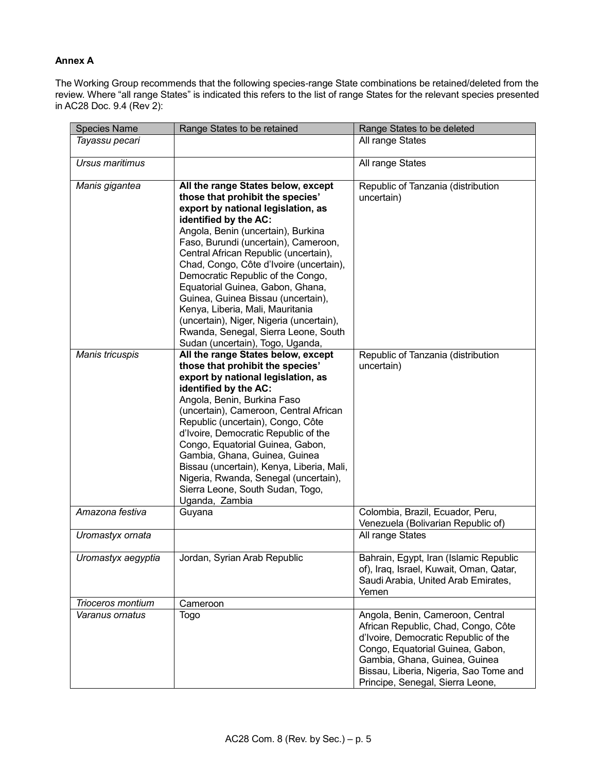# **Annex A**

The Working Group recommends that the following species-range State combinations be retained/deleted from the review. Where "all range States" is indicated this refers to the list of range States for the relevant species presented in AC28 Doc. 9.4 (Rev 2):

| <b>Species Name</b> | Range States to be retained                                                                                                                                                                                                                                                                                                                                                                                                                                                                                                                                                        | Range States to be deleted                                                                                                                                                                                                                                         |
|---------------------|------------------------------------------------------------------------------------------------------------------------------------------------------------------------------------------------------------------------------------------------------------------------------------------------------------------------------------------------------------------------------------------------------------------------------------------------------------------------------------------------------------------------------------------------------------------------------------|--------------------------------------------------------------------------------------------------------------------------------------------------------------------------------------------------------------------------------------------------------------------|
| Tayassu pecari      |                                                                                                                                                                                                                                                                                                                                                                                                                                                                                                                                                                                    | All range States                                                                                                                                                                                                                                                   |
| Ursus maritimus     |                                                                                                                                                                                                                                                                                                                                                                                                                                                                                                                                                                                    | All range States                                                                                                                                                                                                                                                   |
| Manis gigantea      | All the range States below, except<br>those that prohibit the species'<br>export by national legislation, as<br>identified by the AC:<br>Angola, Benin (uncertain), Burkina<br>Faso, Burundi (uncertain), Cameroon,<br>Central African Republic (uncertain),<br>Chad, Congo, Côte d'Ivoire (uncertain),<br>Democratic Republic of the Congo,<br>Equatorial Guinea, Gabon, Ghana,<br>Guinea, Guinea Bissau (uncertain),<br>Kenya, Liberia, Mali, Mauritania<br>(uncertain), Niger, Nigeria (uncertain),<br>Rwanda, Senegal, Sierra Leone, South<br>Sudan (uncertain), Togo, Uganda, | Republic of Tanzania (distribution<br>uncertain)                                                                                                                                                                                                                   |
| Manis tricuspis     | All the range States below, except<br>those that prohibit the species'<br>export by national legislation, as<br>identified by the AC:<br>Angola, Benin, Burkina Faso<br>(uncertain), Cameroon, Central African<br>Republic (uncertain), Congo, Côte<br>d'Ivoire, Democratic Republic of the<br>Congo, Equatorial Guinea, Gabon,<br>Gambia, Ghana, Guinea, Guinea<br>Bissau (uncertain), Kenya, Liberia, Mali,<br>Nigeria, Rwanda, Senegal (uncertain),<br>Sierra Leone, South Sudan, Togo,<br>Uganda, Zambia                                                                       | Republic of Tanzania (distribution<br>uncertain)                                                                                                                                                                                                                   |
| Amazona festiva     | Guyana                                                                                                                                                                                                                                                                                                                                                                                                                                                                                                                                                                             | Colombia, Brazil, Ecuador, Peru,<br>Venezuela (Bolivarian Republic of)                                                                                                                                                                                             |
| Uromastyx ornata    |                                                                                                                                                                                                                                                                                                                                                                                                                                                                                                                                                                                    | All range States                                                                                                                                                                                                                                                   |
| Uromastyx aegyptia  | Jordan, Syrian Arab Republic                                                                                                                                                                                                                                                                                                                                                                                                                                                                                                                                                       | Bahrain, Egypt, Iran (Islamic Republic<br>of), Iraq, Israel, Kuwait, Oman, Qatar,<br>Saudi Arabia, United Arab Emirates,<br>Yemen                                                                                                                                  |
| Trioceros montium   | Cameroon                                                                                                                                                                                                                                                                                                                                                                                                                                                                                                                                                                           |                                                                                                                                                                                                                                                                    |
| Varanus ornatus     | <b>Togo</b>                                                                                                                                                                                                                                                                                                                                                                                                                                                                                                                                                                        | Angola, Benin, Cameroon, Central<br>African Republic, Chad, Congo, Côte<br>d'Ivoire, Democratic Republic of the<br>Congo, Equatorial Guinea, Gabon,<br>Gambia, Ghana, Guinea, Guinea<br>Bissau, Liberia, Nigeria, Sao Tome and<br>Principe, Senegal, Sierra Leone, |